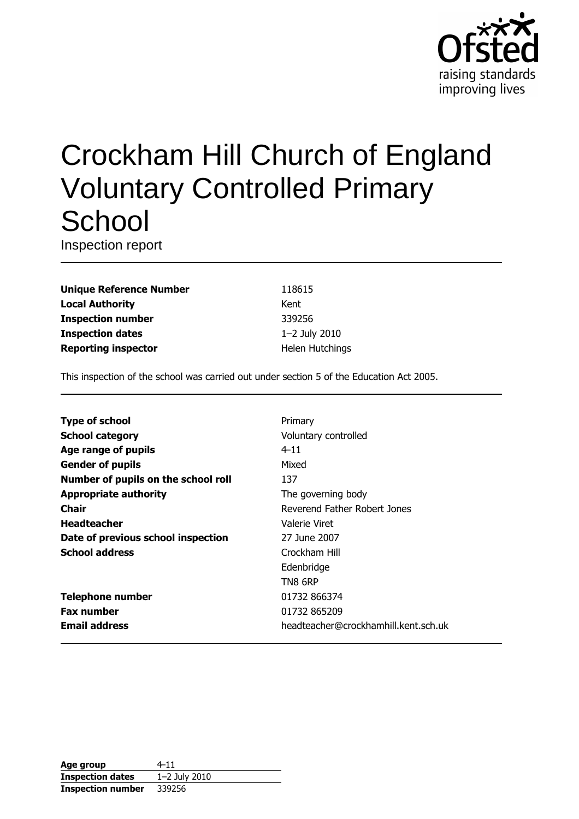

# Crockham Hill Church of England **Voluntary Controlled Primary** School

Inspection report

**Unique Reference Number Local Authority Inspection number Inspection dates Reporting inspector** 

118615 Kent 339256 1-2 July 2010 Helen Hutchings

This inspection of the school was carried out under section 5 of the Education Act 2005.

| <b>Type of school</b>               | Primary                              |
|-------------------------------------|--------------------------------------|
| <b>School category</b>              | Voluntary controlled                 |
| Age range of pupils                 | $4 - 11$                             |
| <b>Gender of pupils</b>             | Mixed                                |
| Number of pupils on the school roll | 137                                  |
| <b>Appropriate authority</b>        | The governing body                   |
| <b>Chair</b>                        | Reverend Father Robert Jones         |
| <b>Headteacher</b>                  | Valerie Viret                        |
| Date of previous school inspection  | 27 June 2007                         |
| <b>School address</b>               | Crockham Hill                        |
|                                     | Edenbridge                           |
|                                     | TN8 6RP                              |
| <b>Telephone number</b>             | 01732 866374                         |
| <b>Fax number</b>                   | 01732 865209                         |
| <b>Email address</b>                | headteacher@crockhamhill.kent.sch.uk |
|                                     |                                      |

| Age group                | 4–11          |
|--------------------------|---------------|
| <b>Inspection dates</b>  | 1-2 July 2010 |
| <b>Inspection number</b> | 339256        |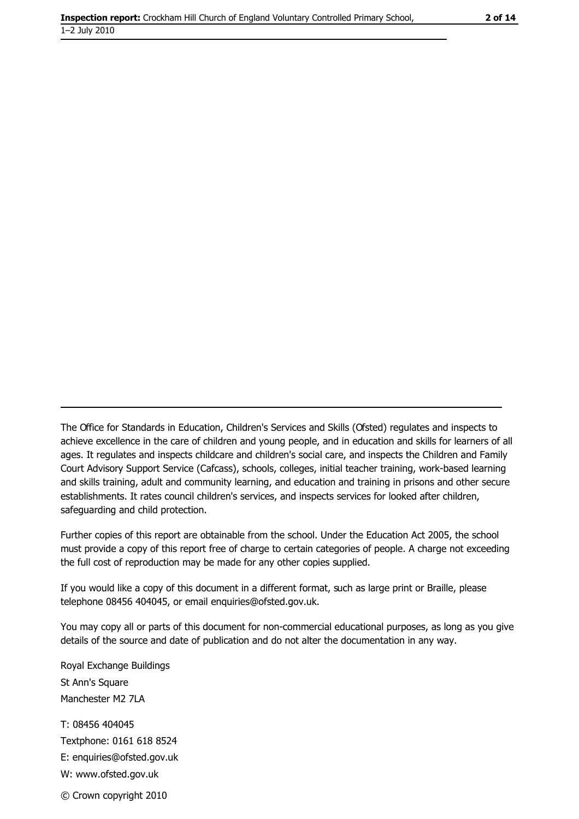The Office for Standards in Education, Children's Services and Skills (Ofsted) regulates and inspects to achieve excellence in the care of children and young people, and in education and skills for learners of all ages. It regulates and inspects childcare and children's social care, and inspects the Children and Family Court Advisory Support Service (Cafcass), schools, colleges, initial teacher training, work-based learning and skills training, adult and community learning, and education and training in prisons and other secure establishments. It rates council children's services, and inspects services for looked after children, safequarding and child protection.

Further copies of this report are obtainable from the school. Under the Education Act 2005, the school must provide a copy of this report free of charge to certain categories of people. A charge not exceeding the full cost of reproduction may be made for any other copies supplied.

If you would like a copy of this document in a different format, such as large print or Braille, please telephone 08456 404045, or email enquiries@ofsted.gov.uk.

You may copy all or parts of this document for non-commercial educational purposes, as long as you give details of the source and date of publication and do not alter the documentation in any way.

Royal Exchange Buildings St Ann's Square Manchester M2 7LA T: 08456 404045 Textphone: 0161 618 8524 E: enquiries@ofsted.gov.uk W: www.ofsted.gov.uk © Crown copyright 2010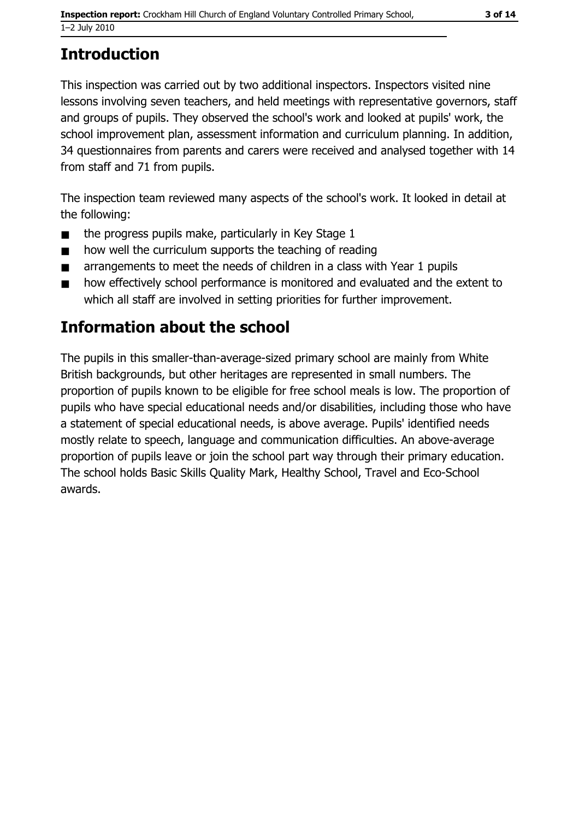# **Introduction**

This inspection was carried out by two additional inspectors. Inspectors visited nine lessons involving seven teachers, and held meetings with representative governors, staff and groups of pupils. They observed the school's work and looked at pupils' work, the school improvement plan, assessment information and curriculum planning. In addition, 34 questionnaires from parents and carers were received and analysed together with 14 from staff and 71 from pupils.

The inspection team reviewed many aspects of the school's work. It looked in detail at the following:

- the progress pupils make, particularly in Key Stage 1  $\blacksquare$
- how well the curriculum supports the teaching of reading  $\blacksquare$
- arrangements to meet the needs of children in a class with Year 1 pupils  $\blacksquare$
- how effectively school performance is monitored and evaluated and the extent to  $\blacksquare$ which all staff are involved in setting priorities for further improvement.

# **Information about the school**

The pupils in this smaller-than-average-sized primary school are mainly from White British backgrounds, but other heritages are represented in small numbers. The proportion of pupils known to be eligible for free school meals is low. The proportion of pupils who have special educational needs and/or disabilities, including those who have a statement of special educational needs, is above average. Pupils' identified needs mostly relate to speech, language and communication difficulties. An above-average proportion of pupils leave or join the school part way through their primary education. The school holds Basic Skills Quality Mark, Healthy School, Travel and Eco-School awards.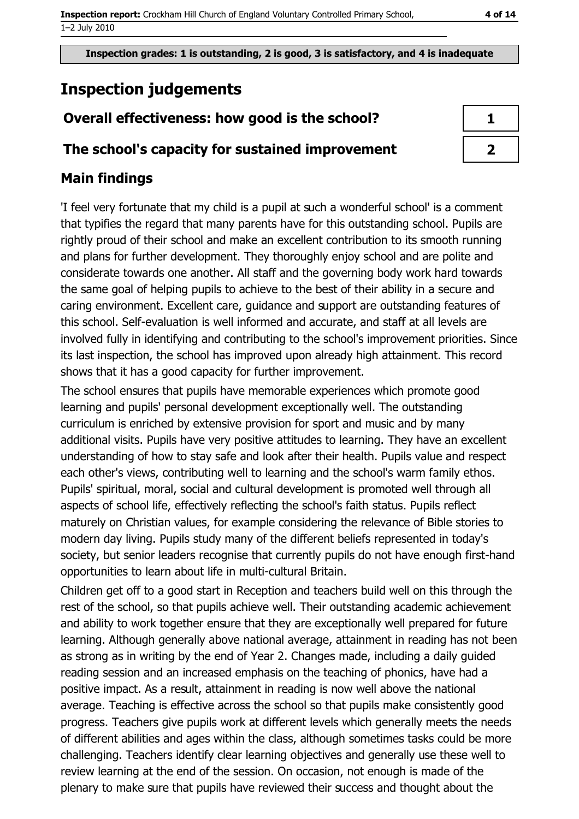# **Inspection judgements**

# Overall effectiveness: how good is the school?

## The school's capacity for sustained improvement

# **Main findings**

'I feel very fortunate that my child is a pupil at such a wonderful school' is a comment that typifies the regard that many parents have for this outstanding school. Pupils are rightly proud of their school and make an excellent contribution to its smooth running and plans for further development. They thoroughly enjoy school and are polite and considerate towards one another. All staff and the governing body work hard towards the same goal of helping pupils to achieve to the best of their ability in a secure and caring environment. Excellent care, guidance and support are outstanding features of this school. Self-evaluation is well informed and accurate, and staff at all levels are involved fully in identifying and contributing to the school's improvement priorities. Since its last inspection, the school has improved upon already high attainment. This record shows that it has a good capacity for further improvement.

The school ensures that pupils have memorable experiences which promote good learning and pupils' personal development exceptionally well. The outstanding curriculum is enriched by extensive provision for sport and music and by many additional visits. Pupils have very positive attitudes to learning. They have an excellent understanding of how to stay safe and look after their health. Pupils value and respect each other's views, contributing well to learning and the school's warm family ethos. Pupils' spiritual, moral, social and cultural development is promoted well through all aspects of school life, effectively reflecting the school's faith status. Pupils reflect maturely on Christian values, for example considering the relevance of Bible stories to modern day living. Pupils study many of the different beliefs represented in today's society, but senior leaders recognise that currently pupils do not have enough first-hand opportunities to learn about life in multi-cultural Britain.

Children get off to a good start in Reception and teachers build well on this through the rest of the school, so that pupils achieve well. Their outstanding academic achievement and ability to work together ensure that they are exceptionally well prepared for future learning. Although generally above national average, attainment in reading has not been as strong as in writing by the end of Year 2. Changes made, including a daily quided reading session and an increased emphasis on the teaching of phonics, have had a positive impact. As a result, attainment in reading is now well above the national average. Teaching is effective across the school so that pupils make consistently good progress. Teachers give pupils work at different levels which generally meets the needs of different abilities and ages within the class, although sometimes tasks could be more challenging. Teachers identify clear learning objectives and generally use these well to review learning at the end of the session. On occasion, not enough is made of the plenary to make sure that pupils have reviewed their success and thought about the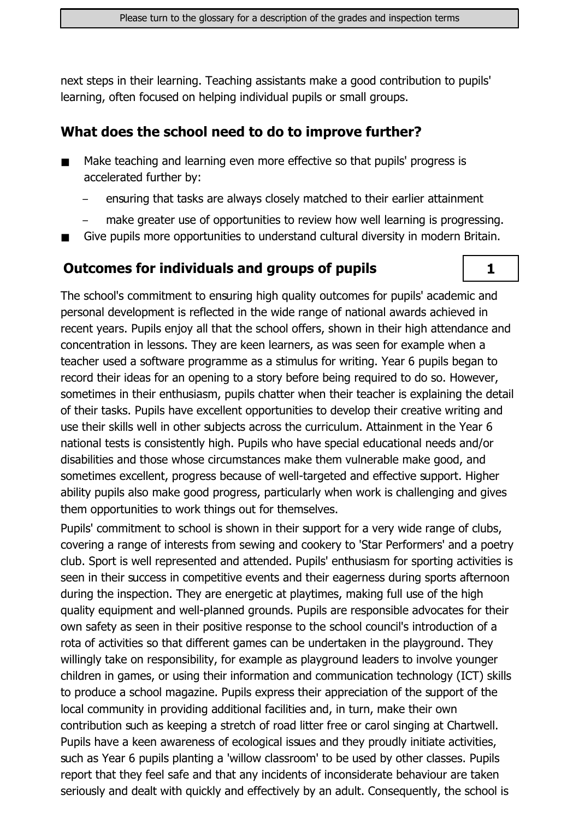next steps in their learning. Teaching assistants make a good contribution to pupils' learning, often focused on helping individual pupils or small groups.

# What does the school need to do to improve further?

- Make teaching and learning even more effective so that pupils' progress is  $\blacksquare$ accelerated further by:
	- ensuring that tasks are always closely matched to their earlier attainment
	- make greater use of opportunities to review how well learning is progressing.

 $\mathbf{1}$ 

Give pupils more opportunities to understand cultural diversity in modern Britain.

# **Outcomes for individuals and groups of pupils**

The school's commitment to ensuring high quality outcomes for pupils' academic and personal development is reflected in the wide range of national awards achieved in recent years. Pupils enjoy all that the school offers, shown in their high attendance and concentration in lessons. They are keen learners, as was seen for example when a teacher used a software programme as a stimulus for writing. Year 6 pupils began to record their ideas for an opening to a story before being required to do so. However, sometimes in their enthusiasm, pupils chatter when their teacher is explaining the detail of their tasks. Pupils have excellent opportunities to develop their creative writing and use their skills well in other subjects across the curriculum. Attainment in the Year 6 national tests is consistently high. Pupils who have special educational needs and/or disabilities and those whose circumstances make them vulnerable make good, and sometimes excellent, progress because of well-targeted and effective support. Higher ability pupils also make good progress, particularly when work is challenging and gives them opportunities to work things out for themselves.

Pupils' commitment to school is shown in their support for a very wide range of clubs, covering a range of interests from sewing and cookery to 'Star Performers' and a poetry club. Sport is well represented and attended. Pupils' enthusiasm for sporting activities is seen in their success in competitive events and their eagerness during sports afternoon during the inspection. They are energetic at playtimes, making full use of the high quality equipment and well-planned grounds. Pupils are responsible advocates for their own safety as seen in their positive response to the school council's introduction of a rota of activities so that different games can be undertaken in the playground. They willingly take on responsibility, for example as playground leaders to involve vounger children in games, or using their information and communication technology (ICT) skills to produce a school magazine. Pupils express their appreciation of the support of the local community in providing additional facilities and, in turn, make their own contribution such as keeping a stretch of road litter free or carol singing at Chartwell. Pupils have a keen awareness of ecological issues and they proudly initiate activities, such as Year 6 pupils planting a 'willow classroom' to be used by other classes. Pupils report that they feel safe and that any incidents of inconsiderate behaviour are taken seriously and dealt with quickly and effectively by an adult. Consequently, the school is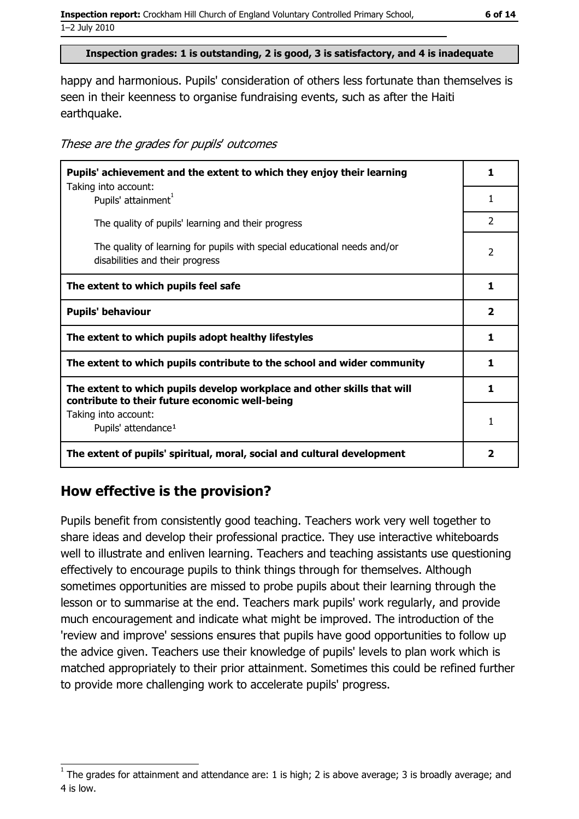#### Inspection grades: 1 is outstanding, 2 is good, 3 is satisfactory, and 4 is inadequate

happy and harmonious. Pupils' consideration of others less fortunate than themselves is seen in their keenness to organise fundraising events, such as after the Haiti earthquake.

| These are the grades for pupils' outcomes |  |  |  |
|-------------------------------------------|--|--|--|
|-------------------------------------------|--|--|--|

| Pupils' achievement and the extent to which they enjoy their learning                                                     |                |
|---------------------------------------------------------------------------------------------------------------------------|----------------|
| Taking into account:<br>Pupils' attainment <sup>1</sup>                                                                   | 1              |
| The quality of pupils' learning and their progress                                                                        | $\overline{2}$ |
| The quality of learning for pupils with special educational needs and/or<br>disabilities and their progress               | $\overline{2}$ |
| The extent to which pupils feel safe                                                                                      | 1              |
| <b>Pupils' behaviour</b>                                                                                                  | $\mathbf{2}$   |
| The extent to which pupils adopt healthy lifestyles                                                                       | 1              |
| The extent to which pupils contribute to the school and wider community                                                   | 1              |
| The extent to which pupils develop workplace and other skills that will<br>contribute to their future economic well-being | 1              |
| Taking into account:<br>Pupils' attendance <sup>1</sup>                                                                   | 1              |
| The extent of pupils' spiritual, moral, social and cultural development                                                   |                |

### How effective is the provision?

Pupils benefit from consistently good teaching. Teachers work very well together to share ideas and develop their professional practice. They use interactive whiteboards well to illustrate and enliven learning. Teachers and teaching assistants use questioning effectively to encourage pupils to think things through for themselves. Although sometimes opportunities are missed to probe pupils about their learning through the lesson or to summarise at the end. Teachers mark pupils' work regularly, and provide much encouragement and indicate what might be improved. The introduction of the 'review and improve' sessions ensures that pupils have good opportunities to follow up the advice given. Teachers use their knowledge of pupils' levels to plan work which is matched appropriately to their prior attainment. Sometimes this could be refined further to provide more challenging work to accelerate pupils' progress.

The grades for attainment and attendance are: 1 is high; 2 is above average; 3 is broadly average; and 4 is low.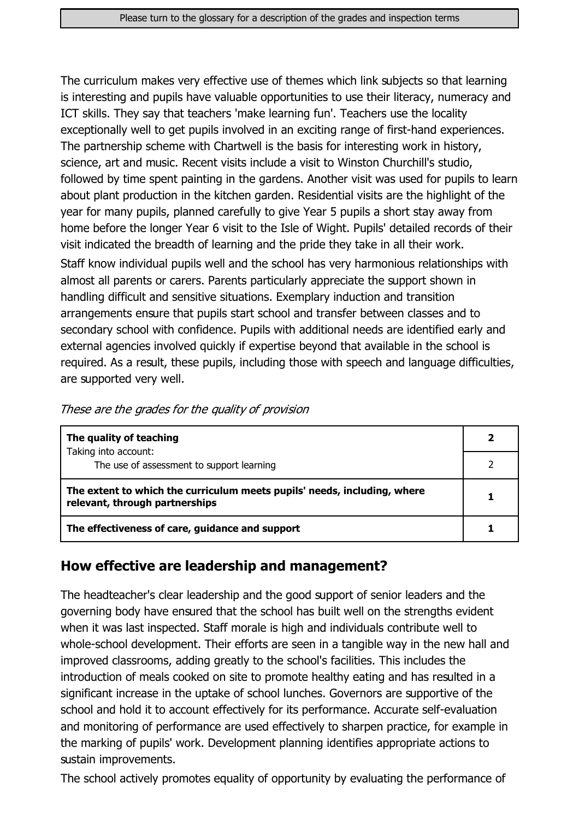The curriculum makes very effective use of themes which link subjects so that learning is interesting and pupils have valuable opportunities to use their literacy, numeracy and ICT skills. They say that teachers 'make learning fun'. Teachers use the locality exceptionally well to get pupils involved in an exciting range of first-hand experiences. The partnership scheme with Chartwell is the basis for interesting work in history, science, art and music. Recent visits include a visit to Winston Churchill's studio, followed by time spent painting in the gardens. Another visit was used for pupils to learn about plant production in the kitchen garden. Residential visits are the highlight of the year for many pupils, planned carefully to give Year 5 pupils a short stay away from home before the longer Year 6 visit to the Isle of Wight. Pupils' detailed records of their visit indicated the breadth of learning and the pride they take in all their work.

Staff know individual pupils well and the school has very harmonious relationships with almost all parents or carers. Parents particularly appreciate the support shown in handling difficult and sensitive situations. Exemplary induction and transition arrangements ensure that pupils start school and transfer between classes and to secondary school with confidence. Pupils with additional needs are identified early and external agencies involved quickly if expertise beyond that available in the school is required. As a result, these pupils, including those with speech and language difficulties, are supported very well.

| The quality of teaching                                                                                    |  |
|------------------------------------------------------------------------------------------------------------|--|
| Taking into account:<br>The use of assessment to support learning                                          |  |
| The extent to which the curriculum meets pupils' needs, including, where<br>relevant, through partnerships |  |
| The effectiveness of care, guidance and support                                                            |  |

# How effective are leadership and management?

The headteacher's clear leadership and the good support of senior leaders and the governing body have ensured that the school has built well on the strengths evident when it was last inspected. Staff morale is high and individuals contribute well to whole-school development. Their efforts are seen in a tangible way in the new hall and improved classrooms, adding greatly to the school's facilities. This includes the introduction of meals cooked on site to promote healthy eating and has resulted in a significant increase in the uptake of school lunches. Governors are supportive of the school and hold it to account effectively for its performance. Accurate self-evaluation and monitoring of performance are used effectively to sharpen practice, for example in the marking of pupils' work. Development planning identifies appropriate actions to sustain improvements.

The school actively promotes equality of opportunity by evaluating the performance of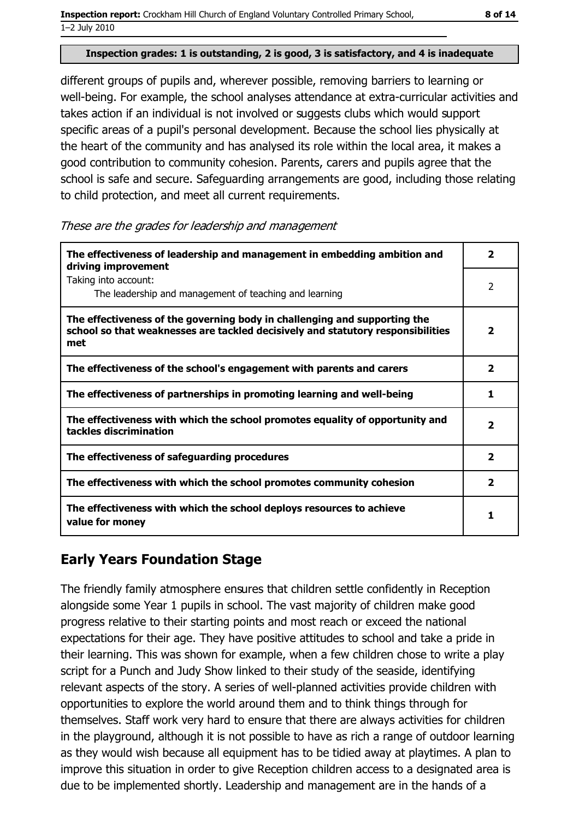#### Inspection grades: 1 is outstanding, 2 is good, 3 is satisfactory, and 4 is inadequate

different groups of pupils and, wherever possible, removing barriers to learning or well-being. For example, the school analyses attendance at extra-curricular activities and takes action if an individual is not involved or suggests clubs which would support specific areas of a pupil's personal development. Because the school lies physically at the heart of the community and has analysed its role within the local area, it makes a good contribution to community cohesion. Parents, carers and pupils agree that the school is safe and secure. Safeguarding arrangements are good, including those relating to child protection, and meet all current requirements.

These are the grades for leadership and management

| The effectiveness of leadership and management in embedding ambition and<br>driving improvement                                                                     | 2                       |
|---------------------------------------------------------------------------------------------------------------------------------------------------------------------|-------------------------|
| Taking into account:<br>The leadership and management of teaching and learning                                                                                      | $\overline{2}$          |
| The effectiveness of the governing body in challenging and supporting the<br>school so that weaknesses are tackled decisively and statutory responsibilities<br>met | 2                       |
| The effectiveness of the school's engagement with parents and carers                                                                                                | $\overline{\mathbf{2}}$ |
| The effectiveness of partnerships in promoting learning and well-being                                                                                              | 1                       |
| The effectiveness with which the school promotes equality of opportunity and<br>tackles discrimination                                                              | $\overline{\mathbf{2}}$ |
| The effectiveness of safeguarding procedures                                                                                                                        | $\overline{\mathbf{2}}$ |
| The effectiveness with which the school promotes community cohesion                                                                                                 | $\overline{\mathbf{2}}$ |
| The effectiveness with which the school deploys resources to achieve<br>value for money                                                                             | 1                       |

# **Early Years Foundation Stage**

The friendly family atmosphere ensures that children settle confidently in Reception alongside some Year 1 pupils in school. The vast majority of children make good progress relative to their starting points and most reach or exceed the national expectations for their age. They have positive attitudes to school and take a pride in their learning. This was shown for example, when a few children chose to write a play script for a Punch and Judy Show linked to their study of the seaside, identifying relevant aspects of the story. A series of well-planned activities provide children with opportunities to explore the world around them and to think things through for themselves. Staff work very hard to ensure that there are always activities for children in the playground, although it is not possible to have as rich a range of outdoor learning as they would wish because all equipment has to be tidied away at playtimes. A plan to improve this situation in order to give Reception children access to a designated area is due to be implemented shortly. Leadership and management are in the hands of a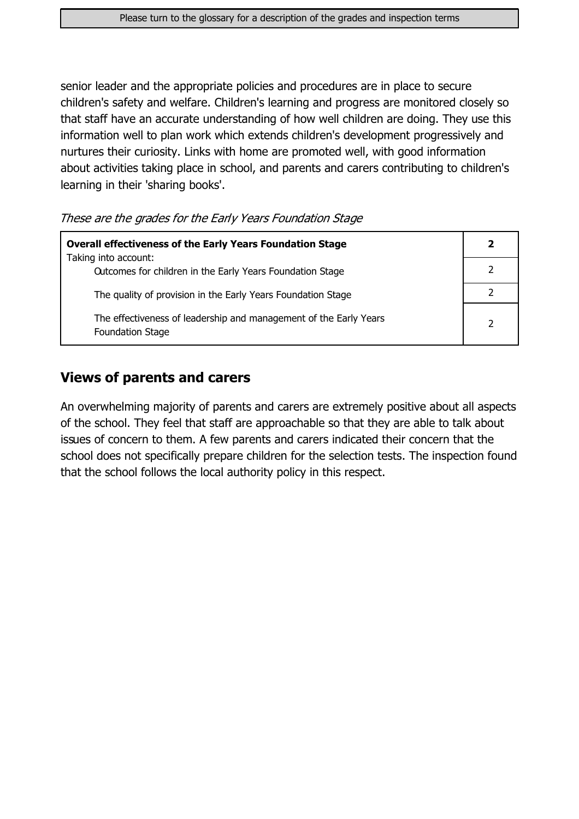senior leader and the appropriate policies and procedures are in place to secure children's safety and welfare. Children's learning and progress are monitored closely so that staff have an accurate understanding of how well children are doing. They use this information well to plan work which extends children's development progressively and nurtures their curiosity. Links with home are promoted well, with good information about activities taking place in school, and parents and carers contributing to children's learning in their 'sharing books'.

These are the grades for the Early Years Foundation Stage

| <b>Overall effectiveness of the Early Years Foundation Stage</b>                             |  |  |
|----------------------------------------------------------------------------------------------|--|--|
| Taking into account:<br>Outcomes for children in the Early Years Foundation Stage            |  |  |
| The quality of provision in the Early Years Foundation Stage                                 |  |  |
| The effectiveness of leadership and management of the Early Years<br><b>Foundation Stage</b> |  |  |

### **Views of parents and carers**

An overwhelming majority of parents and carers are extremely positive about all aspects of the school. They feel that staff are approachable so that they are able to talk about issues of concern to them. A few parents and carers indicated their concern that the school does not specifically prepare children for the selection tests. The inspection found that the school follows the local authority policy in this respect.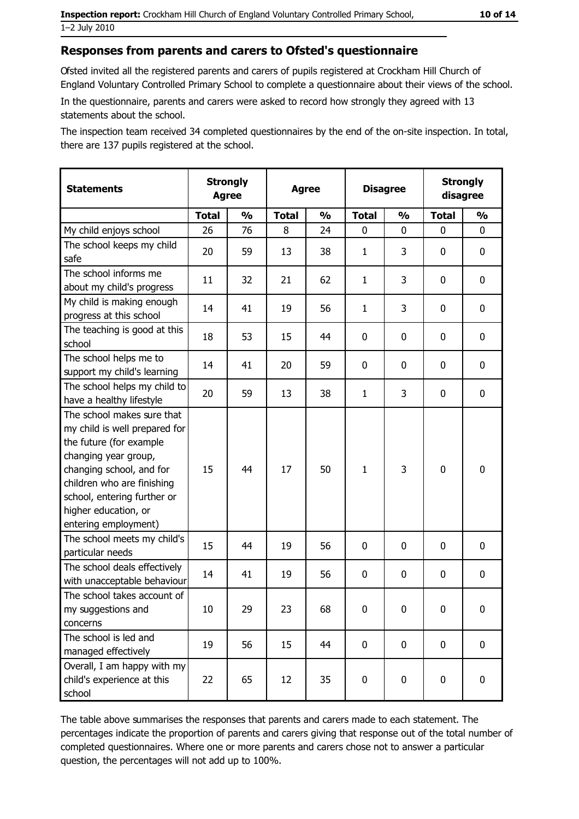#### Responses from parents and carers to Ofsted's questionnaire

Ofsted invited all the registered parents and carers of pupils registered at Crockham Hill Church of England Voluntary Controlled Primary School to complete a questionnaire about their views of the school.

In the questionnaire, parents and carers were asked to record how strongly they agreed with 13 statements about the school.

The inspection team received 34 completed questionnaires by the end of the on-site inspection. In total, there are 137 pupils registered at the school.

| <b>Statements</b>                                                                                                                                                                                                                                       |              | <b>Disagree</b><br><b>Agree</b> |              | <b>Strongly</b><br><b>Agree</b> |              |               |              |               | <b>Strongly</b><br>disagree |
|---------------------------------------------------------------------------------------------------------------------------------------------------------------------------------------------------------------------------------------------------------|--------------|---------------------------------|--------------|---------------------------------|--------------|---------------|--------------|---------------|-----------------------------|
|                                                                                                                                                                                                                                                         | <b>Total</b> | $\frac{0}{0}$                   | <b>Total</b> | $\frac{0}{0}$                   | <b>Total</b> | $\frac{0}{0}$ | <b>Total</b> | $\frac{0}{0}$ |                             |
| My child enjoys school                                                                                                                                                                                                                                  | 26           | 76                              | 8            | 24                              | $\mathbf 0$  | 0             | $\mathbf{0}$ | 0             |                             |
| The school keeps my child<br>safe                                                                                                                                                                                                                       | 20           | 59                              | 13           | 38                              | $\mathbf{1}$ | 3             | 0            | 0             |                             |
| The school informs me<br>about my child's progress                                                                                                                                                                                                      | 11           | 32                              | 21           | 62                              | $\mathbf{1}$ | 3             | 0            | 0             |                             |
| My child is making enough<br>progress at this school                                                                                                                                                                                                    | 14           | 41                              | 19           | 56                              | $\mathbf{1}$ | 3             | 0            | 0             |                             |
| The teaching is good at this<br>school                                                                                                                                                                                                                  | 18           | 53                              | 15           | 44                              | $\mathbf 0$  | 0             | 0            | 0             |                             |
| The school helps me to<br>support my child's learning                                                                                                                                                                                                   | 14           | 41                              | 20           | 59                              | $\mathbf 0$  | 0             | 0            | 0             |                             |
| The school helps my child to<br>have a healthy lifestyle                                                                                                                                                                                                | 20           | 59                              | 13           | 38                              | $\mathbf{1}$ | 3             | 0            | 0             |                             |
| The school makes sure that<br>my child is well prepared for<br>the future (for example<br>changing year group,<br>changing school, and for<br>children who are finishing<br>school, entering further or<br>higher education, or<br>entering employment) | 15           | 44                              | 17           | 50                              | $\mathbf{1}$ | 3             | $\mathbf 0$  | 0             |                             |
| The school meets my child's<br>particular needs                                                                                                                                                                                                         | 15           | 44                              | 19           | 56                              | $\mathbf 0$  | 0             | 0            | 0             |                             |
| The school deals effectively<br>with unacceptable behaviour                                                                                                                                                                                             | 14           | 41                              | 19           | 56                              | $\mathbf 0$  | 0             | 0            | 0             |                             |
| The school takes account of<br>my suggestions and<br>concerns                                                                                                                                                                                           | 10           | 29                              | 23           | 68                              | 0            | 0             | 0            | 0             |                             |
| The school is led and<br>managed effectively                                                                                                                                                                                                            | 19           | 56                              | 15           | 44                              | $\mathbf 0$  | 0             | 0            | $\mathbf 0$   |                             |
| Overall, I am happy with my<br>child's experience at this<br>school                                                                                                                                                                                     | 22           | 65                              | 12           | 35                              | $\pmb{0}$    | 0             | $\mathbf 0$  | 0             |                             |

The table above summarises the responses that parents and carers made to each statement. The percentages indicate the proportion of parents and carers giving that response out of the total number of completed questionnaires. Where one or more parents and carers chose not to answer a particular question, the percentages will not add up to 100%.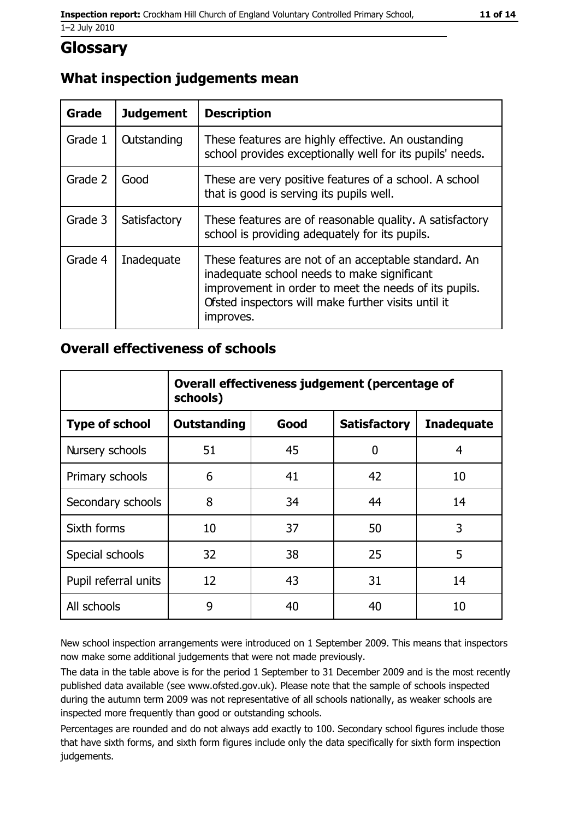# **Glossary**

## What inspection judgements mean

| <b>Grade</b> | <b>Judgement</b>   | <b>Description</b>                                                                                                                                                                                                               |
|--------------|--------------------|----------------------------------------------------------------------------------------------------------------------------------------------------------------------------------------------------------------------------------|
| Grade 1      | <b>Outstanding</b> | These features are highly effective. An oustanding<br>school provides exceptionally well for its pupils' needs.                                                                                                                  |
| Grade 2      | Good               | These are very positive features of a school. A school<br>that is good is serving its pupils well.                                                                                                                               |
| Grade 3      | Satisfactory       | These features are of reasonable quality. A satisfactory<br>school is providing adequately for its pupils.                                                                                                                       |
| Grade 4      | Inadequate         | These features are not of an acceptable standard. An<br>inadequate school needs to make significant<br>improvement in order to meet the needs of its pupils.<br>Ofsted inspectors will make further visits until it<br>improves. |

### **Overall effectiveness of schools**

|                       | Overall effectiveness judgement (percentage of<br>schools) |      |                     |                   |  |
|-----------------------|------------------------------------------------------------|------|---------------------|-------------------|--|
| <b>Type of school</b> | <b>Outstanding</b>                                         | Good | <b>Satisfactory</b> | <b>Inadequate</b> |  |
| Nursery schools       | 51                                                         | 45   | 0                   | 4                 |  |
| Primary schools       | 6                                                          | 41   | 42                  | 10                |  |
| Secondary schools     | 8                                                          | 34   | 44                  | 14                |  |
| Sixth forms           | 10                                                         | 37   | 50                  | 3                 |  |
| Special schools       | 32                                                         | 38   | 25                  | 5                 |  |
| Pupil referral units  | 12                                                         | 43   | 31                  | 14                |  |
| All schools           | 9                                                          | 40   | 40                  | 10                |  |

New school inspection arrangements were introduced on 1 September 2009. This means that inspectors now make some additional judgements that were not made previously.

The data in the table above is for the period 1 September to 31 December 2009 and is the most recently published data available (see www.ofsted.gov.uk). Please note that the sample of schools inspected during the autumn term 2009 was not representative of all schools nationally, as weaker schools are inspected more frequently than good or outstanding schools.

Percentages are rounded and do not always add exactly to 100. Secondary school figures include those that have sixth forms, and sixth form figures include only the data specifically for sixth form inspection judgements.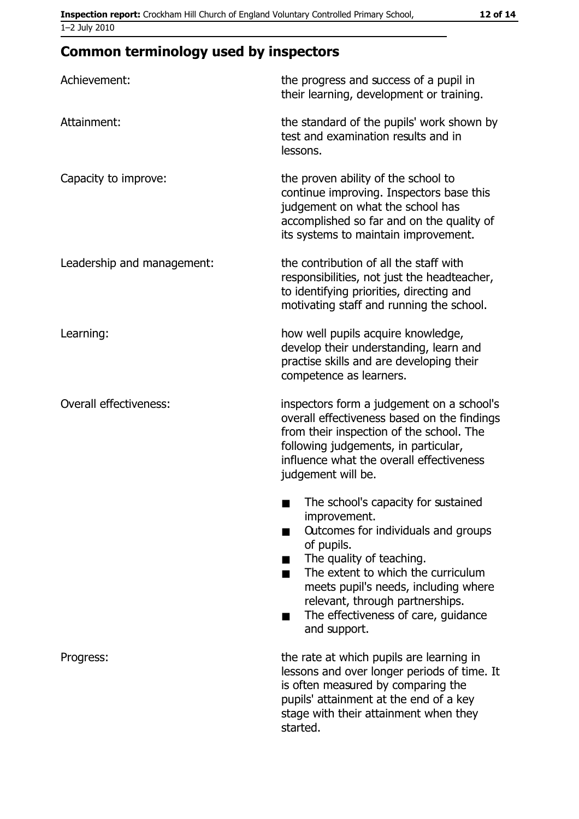# **Common terminology used by inspectors**

| Achievement:                  | the progress and success of a pupil in<br>their learning, development or training.                                                                                                                                                                                                                           |
|-------------------------------|--------------------------------------------------------------------------------------------------------------------------------------------------------------------------------------------------------------------------------------------------------------------------------------------------------------|
| Attainment:                   | the standard of the pupils' work shown by<br>test and examination results and in<br>lessons.                                                                                                                                                                                                                 |
| Capacity to improve:          | the proven ability of the school to<br>continue improving. Inspectors base this<br>judgement on what the school has<br>accomplished so far and on the quality of<br>its systems to maintain improvement.                                                                                                     |
| Leadership and management:    | the contribution of all the staff with<br>responsibilities, not just the headteacher,<br>to identifying priorities, directing and<br>motivating staff and running the school.                                                                                                                                |
| Learning:                     | how well pupils acquire knowledge,<br>develop their understanding, learn and<br>practise skills and are developing their<br>competence as learners.                                                                                                                                                          |
| <b>Overall effectiveness:</b> | inspectors form a judgement on a school's<br>overall effectiveness based on the findings<br>from their inspection of the school. The<br>following judgements, in particular,<br>influence what the overall effectiveness<br>judgement will be.                                                               |
|                               | The school's capacity for sustained<br>improvement.<br>Outcomes for individuals and groups<br>of pupils.<br>The quality of teaching.<br>The extent to which the curriculum<br>meets pupil's needs, including where<br>relevant, through partnerships.<br>The effectiveness of care, guidance<br>and support. |
| Progress:                     | the rate at which pupils are learning in<br>lessons and over longer periods of time. It<br>is often measured by comparing the<br>pupils' attainment at the end of a key<br>stage with their attainment when they<br>started.                                                                                 |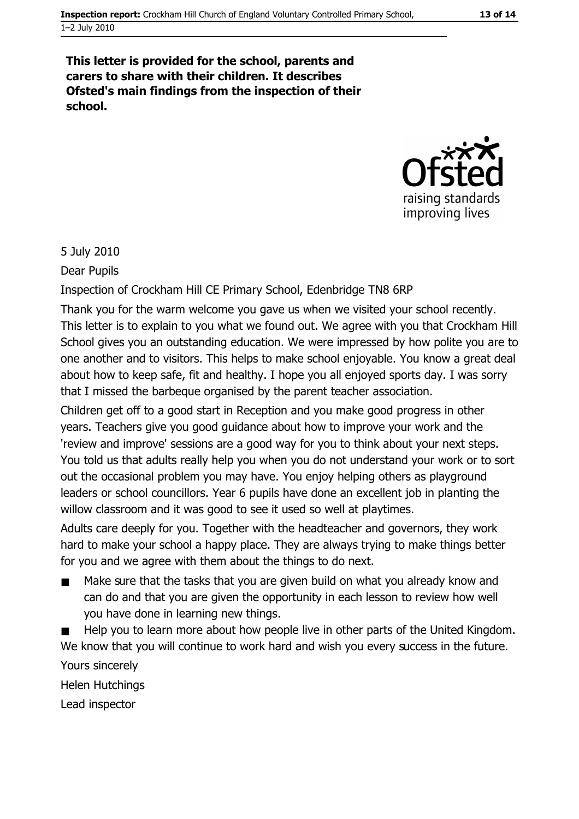#### This letter is provided for the school, parents and carers to share with their children. It describes Ofsted's main findings from the inspection of their school.



#### 5 July 2010

Dear Pupils

Inspection of Crockham Hill CE Primary School, Edenbridge TN8 6RP

Thank you for the warm welcome you gave us when we visited your school recently. This letter is to explain to you what we found out. We agree with you that Crockham Hill School gives you an outstanding education. We were impressed by how polite you are to one another and to visitors. This helps to make school enjoyable. You know a great deal about how to keep safe, fit and healthy. I hope you all enjoyed sports day. I was sorry that I missed the barbeque organised by the parent teacher association.

Children get off to a good start in Reception and you make good progress in other years. Teachers give you good guidance about how to improve your work and the 'review and improve' sessions are a good way for you to think about your next steps. You told us that adults really help you when you do not understand your work or to sort out the occasional problem you may have. You enjoy helping others as playground leaders or school councillors. Year 6 pupils have done an excellent job in planting the willow classroom and it was good to see it used so well at playtimes.

Adults care deeply for you. Together with the headteacher and governors, they work hard to make your school a happy place. They are always trying to make things better for you and we agree with them about the things to do next.

Make sure that the tasks that you are given build on what you already know and can do and that you are given the opportunity in each lesson to review how well you have done in learning new things.

Help you to learn more about how people live in other parts of the United Kingdom. We know that you will continue to work hard and wish you every success in the future. Yours sincerely

Helen Hutchings

Lead inspector